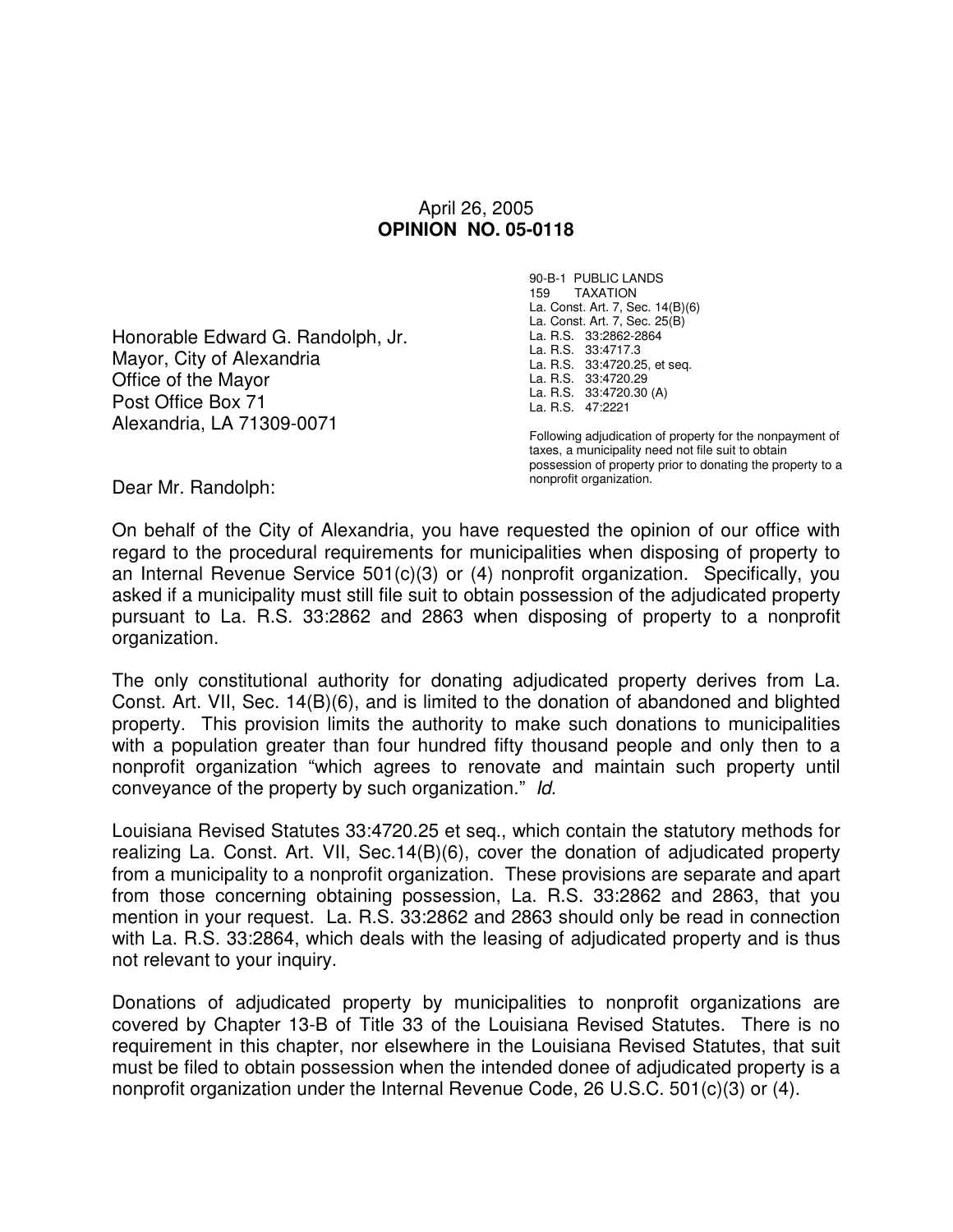## April 26, 2005 **OPINION NO. 05-0118**

Honorable Edward G. Randolph, Jr. Mayor, City of Alexandria Office of the Mayor Post Office Box 71 Alexandria, LA 71309-0071

90-B-1 PUBLIC LANDS 159 TAXATION La. Const. Art. 7, Sec. 14(B)(6) La. Const. Art. 7, Sec. 25(B) La. R.S. 33:2862-2864 La. R.S. 33:4717.3 La. R.S. 33:4720.25, et seq. La. R.S. 33:4720.29 La. R.S. 33:4720.30 (A) La. R.S. 47:2221

Following adjudication of property for the nonpayment of taxes, a municipality need not file suit to obtain possession of property prior to donating the property to a nonprofit organization.

Dear Mr. Randolph:

On behalf of the City of Alexandria, you have requested the opinion of our office with regard to the procedural requirements for municipalities when disposing of property to an Internal Revenue Service 501(c)(3) or (4) nonprofit organization. Specifically, you asked if a municipality must still file suit to obtain possession of the adjudicated property pursuant to La. R.S. 33:2862 and 2863 when disposing of property to a nonprofit organization.

The only constitutional authority for donating adjudicated property derives from La. Const. Art. VII, Sec. 14(B)(6), and is limited to the donation of abandoned and blighted property. This provision limits the authority to make such donations to municipalities with a population greater than four hundred fifty thousand people and only then to a nonprofit organization "which agrees to renovate and maintain such property until conveyance of the property by such organization." Id.

Louisiana Revised Statutes 33:4720.25 et seq., which contain the statutory methods for realizing La. Const. Art. VII, Sec.14(B)(6), cover the donation of adjudicated property from a municipality to a nonprofit organization. These provisions are separate and apart from those concerning obtaining possession, La. R.S. 33:2862 and 2863, that you mention in your request. La. R.S. 33:2862 and 2863 should only be read in connection with La. R.S. 33:2864, which deals with the leasing of adjudicated property and is thus not relevant to your inquiry.

Donations of adjudicated property by municipalities to nonprofit organizations are covered by Chapter 13-B of Title 33 of the Louisiana Revised Statutes. There is no requirement in this chapter, nor elsewhere in the Louisiana Revised Statutes, that suit must be filed to obtain possession when the intended donee of adjudicated property is a nonprofit organization under the Internal Revenue Code, 26 U.S.C. 501(c)(3) or (4).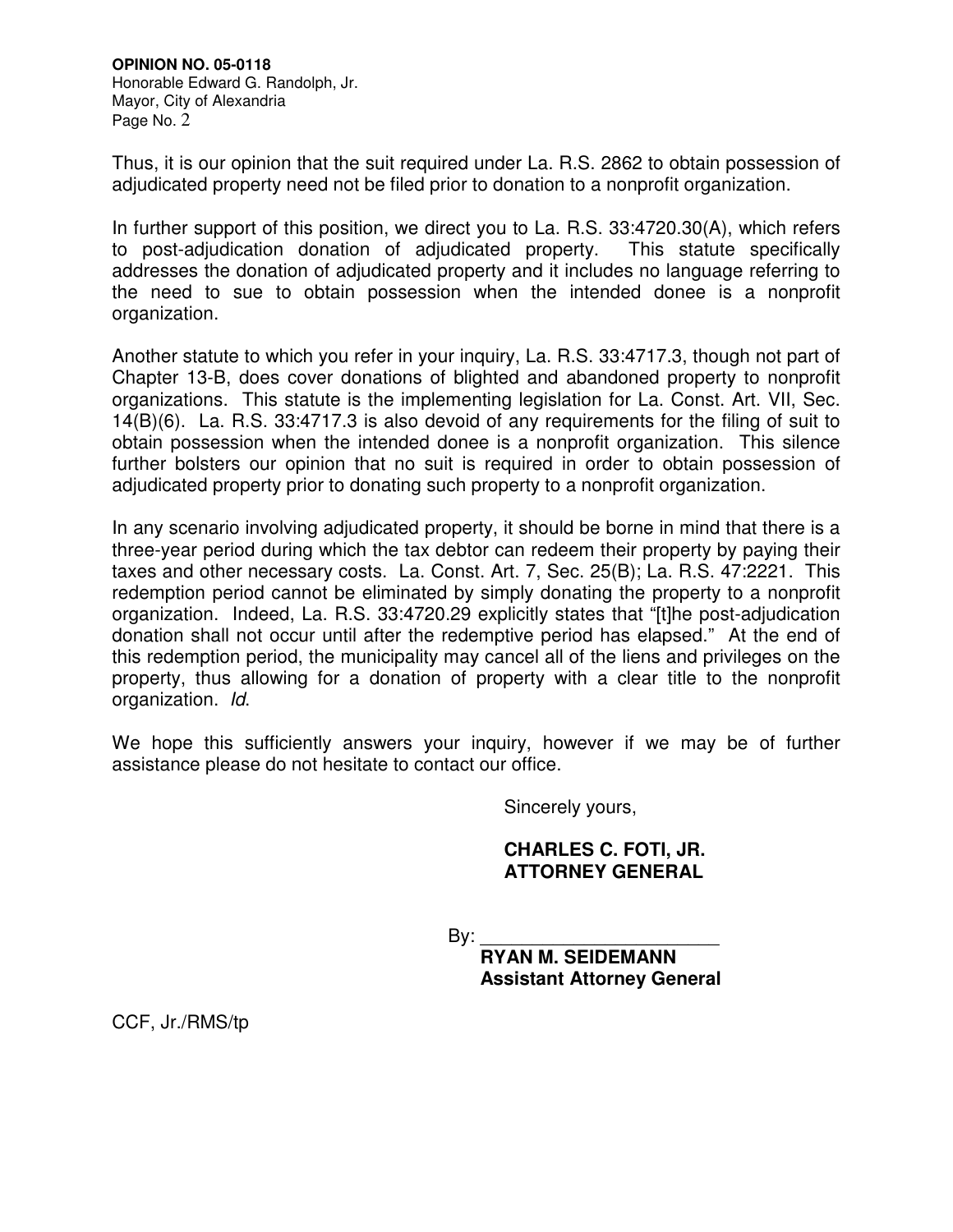**OPINION NO. 05-0118**  Honorable Edward G. Randolph, Jr. Mayor, City of Alexandria Page No. 2

Thus, it is our opinion that the suit required under La. R.S. 2862 to obtain possession of adjudicated property need not be filed prior to donation to a nonprofit organization.

In further support of this position, we direct you to La. R.S. 33:4720.30(A), which refers to post-adjudication donation of adjudicated property. This statute specifically addresses the donation of adjudicated property and it includes no language referring to the need to sue to obtain possession when the intended donee is a nonprofit organization.

Another statute to which you refer in your inquiry, La. R.S. 33:4717.3, though not part of Chapter 13-B, does cover donations of blighted and abandoned property to nonprofit organizations. This statute is the implementing legislation for La. Const. Art. VII, Sec. 14(B)(6). La. R.S. 33:4717.3 is also devoid of any requirements for the filing of suit to obtain possession when the intended donee is a nonprofit organization. This silence further bolsters our opinion that no suit is required in order to obtain possession of adjudicated property prior to donating such property to a nonprofit organization.

In any scenario involving adjudicated property, it should be borne in mind that there is a three-year period during which the tax debtor can redeem their property by paying their taxes and other necessary costs. La. Const. Art. 7, Sec. 25(B); La. R.S. 47:2221. This redemption period cannot be eliminated by simply donating the property to a nonprofit organization. Indeed, La. R.S. 33:4720.29 explicitly states that "[t]he post-adjudication donation shall not occur until after the redemptive period has elapsed." At the end of this redemption period, the municipality may cancel all of the liens and privileges on the property, thus allowing for a donation of property with a clear title to the nonprofit organization. Id.

We hope this sufficiently answers your inquiry, however if we may be of further assistance please do not hesitate to contact our office.

Sincerely yours,

## **CHARLES C. FOTI, JR. ATTORNEY GENERAL**

By: \_\_\_\_\_\_\_\_\_\_\_\_\_\_\_\_\_\_\_\_\_\_\_

 **RYAN M. SEIDEMANN Assistant Attorney General** 

CCF, Jr./RMS/tp